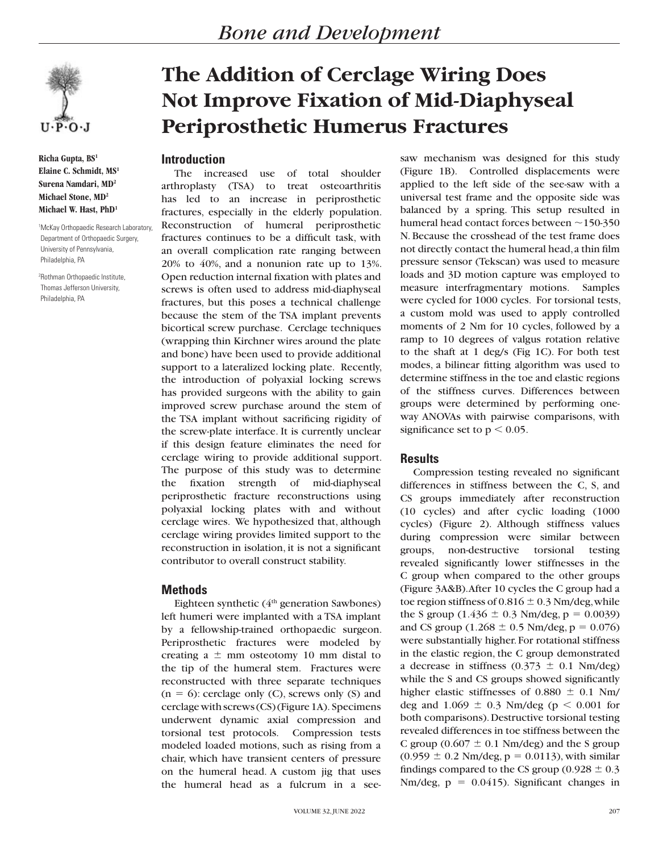

**Richa Gupta, BS1 Elaine C. Schmidt, MS1 Surena Namdari, MD2 Michael Stone, MD2 Michael W. Hast, PhD1**

1 McKay Orthopaedic Research Laboratory, Department of Orthopaedic Surgery, University of Pennsylvania, Philadelphia, PA

2 Rothman Orthopaedic Institute, Thomas Jefferson University, Philadelphia, PA

# **The Addition of Cerclage Wiring Does Not Improve Fixation of Mid-Diaphyseal Periprosthetic Humerus Fractures**

# **Introduction**

The increased use of total shoulder arthroplasty (TSA) to treat osteoarthritis has led to an increase in periprosthetic fractures, especially in the elderly population. Reconstruction of humeral periprosthetic fractures continues to be a difficult task, with an overall complication rate ranging between 20% to 40%, and a nonunion rate up to 13%. Open reduction internal fixation with plates and screws is often used to address mid-diaphyseal fractures, but this poses a technical challenge because the stem of the TSA implant prevents bicortical screw purchase. Cerclage techniques (wrapping thin Kirchner wires around the plate and bone) have been used to provide additional support to a lateralized locking plate. Recently, the introduction of polyaxial locking screws has provided surgeons with the ability to gain improved screw purchase around the stem of the TSA implant without sacrificing rigidity of the screw-plate interface. It is currently unclear if this design feature eliminates the need for cerclage wiring to provide additional support. The purpose of this study was to determine the fixation strength of mid-diaphyseal periprosthetic fracture reconstructions using polyaxial locking plates with and without cerclage wires. We hypothesized that, although cerclage wiring provides limited support to the reconstruction in isolation, it is not a significant contributor to overall construct stability.

#### **Methods**

Eighteen synthetic  $(4<sup>th</sup>$  generation Sawbones) left humeri were implanted with a TSA implant by a fellowship-trained orthopaedic surgeon. Periprosthetic fractures were modeled by creating a  $\pm$  mm osteotomy 10 mm distal to the tip of the humeral stem. Fractures were reconstructed with three separate techniques  $(n = 6)$ : cerclage only (C), screws only (S) and cerclage with screws (CS) (Figure 1A). Specimens underwent dynamic axial compression and torsional test protocols. Compression tests modeled loaded motions, such as rising from a chair, which have transient centers of pressure on the humeral head. A custom jig that uses the humeral head as a fulcrum in a seesaw mechanism was designed for this study (Figure 1B). Controlled displacements were applied to the left side of the see-saw with a universal test frame and the opposite side was balanced by a spring. This setup resulted in humeral head contact forces between  $\sim$ 150-350 N. Because the crosshead of the test frame does not directly contact the humeral head, a thin film pressure sensor (Tekscan) was used to measure loads and 3D motion capture was employed to measure interfragmentary motions. Samples were cycled for 1000 cycles. For torsional tests, a custom mold was used to apply controlled moments of 2 Nm for 10 cycles, followed by a ramp to 10 degrees of valgus rotation relative to the shaft at 1 deg/s (Fig 1C). For both test modes, a bilinear fitting algorithm was used to determine stiffness in the toe and elastic regions of the stiffness curves. Differences between groups were determined by performing oneway ANOVAs with pairwise comparisons, with significance set to  $p < 0.05$ .

## **Results**

Compression testing revealed no significant differences in stiffness between the C, S, and CS groups immediately after reconstruction (10 cycles) and after cyclic loading (1000 cycles) (Figure 2). Although stiffness values during compression were similar between groups, non-destructive torsional testing revealed significantly lower stiffnesses in the C group when compared to the other groups (Figure 3A&B). After 10 cycles the C group had a toe region stiffness of  $0.816 \pm 0.3$  Nm/deg, while the S group  $(1.436 \pm 0.3 \text{ Nm}/{\text{deg}}, \text{p} = 0.0039)$ and CS group (1.268  $\pm$  0.5 Nm/deg, p = 0.076) were substantially higher. For rotational stiffness in the elastic region, the C group demonstrated a decrease in stiffness  $(0.373 \pm 0.1 \text{ Nm/deg})$ while the S and CS groups showed significantly higher elastic stiffnesses of  $0.880 \pm 0.1$  Nm/ deg and  $1.069 \pm 0.3$  Nm/deg (p < 0.001 for both comparisons). Destructive torsional testing revealed differences in toe stiffness between the C group ( $0.607 \pm 0.1$  Nm/deg) and the S group  $(0.959 \pm 0.2 \text{ Nm/deg}, p = 0.0113)$ , with similar findings compared to the CS group (0.928  $\pm$  0.3 Nm/deg,  $p = 0.0415$ ). Significant changes in